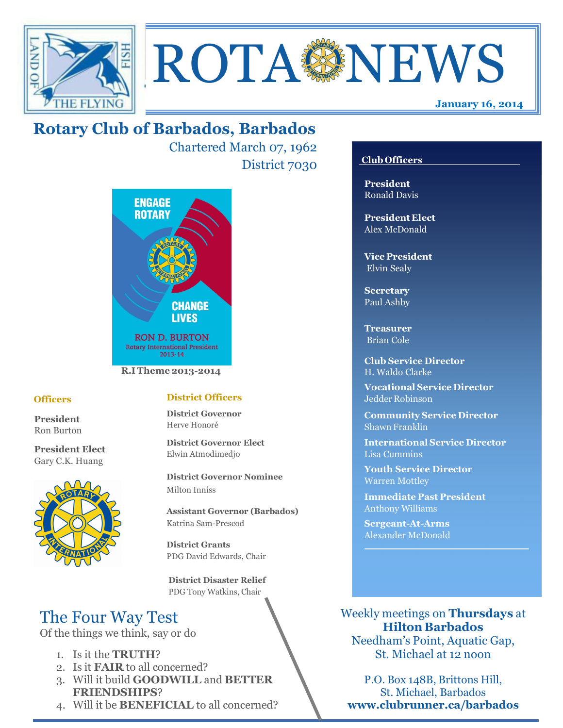



# **Rotary Club of Barbados, Barbados**

Chartered March 07, 1962 District 7030



#### **R.I Theme 2013-2014**

### **Officers**

**President** Ron Burton

**President Elect** Gary C.K. Huang



#### **District Officers**

**District Governor** Herve Honoré

**District Governor Elect** Elwin Atmodimedjo

**District Governor Nominee**  Milton Inniss

**Assistant Governor (Barbados)** Katrina Sam-Prescod

**District Grants**  PDG David Edwards, Chair

 **District Disaster Relief** PDG Tony Watkins, Chair

# The Four Way Test

Of the things we think, say or do

- 1. Is it the **TRUTH**?
- 2. Is it **FAIR** to all concerned?
- 3. Will it build **GOODWILL** and **BETTER FRIENDSHIPS**?
- 4. Will it be **BENEFICIAL** to all concerned?

### **Club Officers**

**President** Ronald Davis

**President Elect** Alex McDonald

**Vice President** Elvin Sealy

**Secretary** Paul Ashby

**Treasurer** Brian Cole

**Club Service Director** H. Waldo Clarke

**Vocational Service Director** Jedder Robinson

**Community Service Director** Shawn Franklin

**International Service Director** Lisa Cummins

**Youth Service Director** Warren Mottley

**Immediate Past President** Anthony Williams

**Sergeant-At-Arms** Alexander McDonald

Weekly meetings on **Thursdays** at **Hilton Barbados** Needham's Point, Aquatic Gap, St. Michael at 12 noon

P.O. Box 148B, Brittons Hill,

St. Michael, Barbados **www.clubrunner.ca/barbados**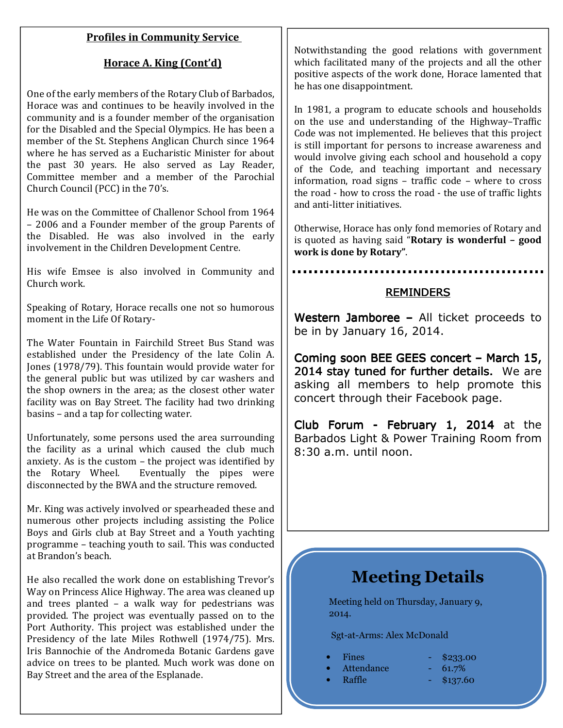### **Profiles in Community Service**

## **Horace A. King (Cont'd)**

One of the early members of the Rotary Club of Barbados, Horace was and continues to be heavily involved in the community and is a founder member of the organisation for the Disabled and the Special Olympics. He has been a member of the St. Stephens Anglican Church since 1964 where he has served as a Eucharistic Minister for about the past 30 years. He also served as Lay Reader, Committee member and a member of the Parochial Church Council (PCC) in the 70's.

He was on the Committee of Challenor School from 1964 – 2006 and a Founder member of the group Parents of the Disabled. He was also involved in the early involvement in the Children Development Centre.

His wife Emsee is also involved in Community and Church work.

Speaking of Rotary, Horace recalls one not so humorous moment in the Life Of Rotary-

The Water Fountain in Fairchild Street Bus Stand was established under the Presidency of the late Colin A. Jones (1978/79). This fountain would provide water for the general public but was utilized by car washers and the shop owners in the area; as the closest other water facility was on Bay Street. The facility had two drinking basins – and a tap for collecting water.

Unfortunately, some persons used the area surrounding the facility as a urinal which caused the club much anxiety. As is the custom – the project was identified by the Rotary Wheel. Eventually the pipes were disconnected by the BWA and the structure removed.

Mr. King was actively involved or spearheaded these and numerous other projects including assisting the Police Boys and Girls club at Bay Street and a Youth yachting programme – teaching youth to sail. This was conducted at Brandon's beach.

He also recalled the work done on establishing Trevor's Way on Princess Alice Highway. The area was cleaned up and trees planted – a walk way for pedestrians was provided. The project was eventually passed on to the Port Authority. This project was established under the Presidency of the late Miles Rothwell (1974/75). Mrs. Iris Bannochie of the Andromeda Botanic Gardens gave advice on trees to be planted. Much work was done on Bay Street and the area of the Esplanade.

Notwithstanding the good relations with government which facilitated many of the projects and all the other positive aspects of the work done, Horace lamented that he has one disappointment.

In 1981, a program to educate schools and households on the use and understanding of the Highway–Traffic Code was not implemented. He believes that this project is still important for persons to increase awareness and would involve giving each school and household a copy of the Code, and teaching important and necessary information, road signs – traffic code – where to cross the road - how to cross the road - the use of traffic lights and anti-litter initiatives.

Otherwise, Horace has only fond memories of Rotary and is quoted as having said "**Rotary is wonderful – good work is done by Rotary"**.

### **REMINDERS**

Western Jamboree – All ticket proceeds to be in by January 16, 2014.

Coming soon BEE GEES concert - March 15, 2014 stay tuned for further details. We are asking all members to help promote this concert through their Facebook page.

Club Forum - February 1, 2014 at the Barbados Light & Power Training Room from 8:30 a.m. until noon.

# **Meeting Details**

Meeting held on Thursday, January 9, 2014.

Sgt-at-Arms: Alex McDonald

- Fines  $\frac{1}{2}$   $\frac{1}{2}$   $\frac{1}{2}$   $\frac{1}{2}$   $\frac{1}{2}$   $\frac{1}{2}$   $\frac{1}{2}$   $\frac{1}{2}$   $\frac{1}{2}$   $\frac{1}{2}$   $\frac{1}{2}$   $\frac{1}{2}$   $\frac{1}{2}$   $\frac{1}{2}$   $\frac{1}{2}$   $\frac{1}{2}$   $\frac{1}{2}$   $\frac{1}{2}$   $\frac{1}{2}$   $\frac{1}{2}$   $\frac{1}{2}$   $\frac{1$
- Attendance 61.7%
- -
- Raffle  $\longrightarrow$  \$137.60
-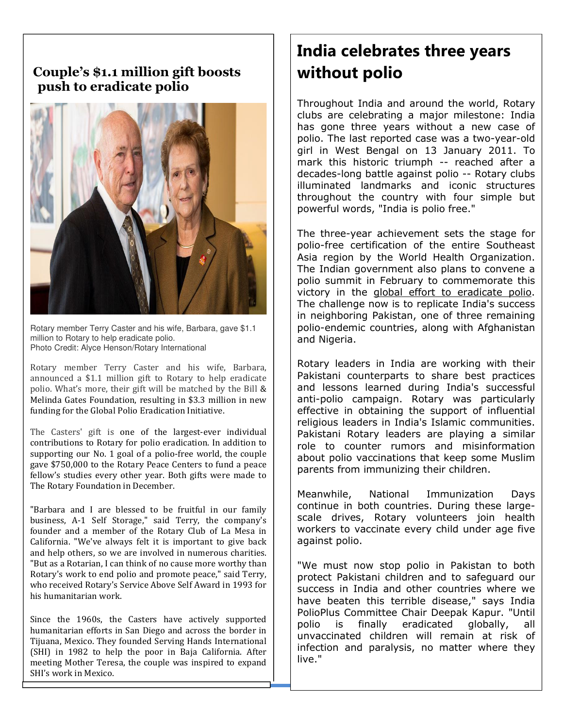## **GREETERS push to eradicate polio Couple's \$1.1 million gift boosts**



Rotary member Terry Caster and his wife, Barbara, gave \$1.1 million to Rotary to help eradicate polio. Photo Credit: Alyce Henson/Rotary International

Rotary member Terry Caster and his wife, Barbara, announced a \$1.1 million gift to Rotary to help eradicate polio. What's more, their gift will be matched by the Bill & Melinda Gates Foundation, resulting in \$3.3 million in new funding for the Global Polio Eradication Initiative.

The Casters' gift is one of the largest-ever individual contributions to Rotary for polio eradication. In addition to supporting our No. 1 goal of a polio-free world, the couple gave \$750,000 to the Rotary Peace Centers to fund a peace fellow's studies every other year. Both gifts were made to The Rotary Foundation in December.

"Barbara and I are blessed to be fruitful in our family business, A-1 Self Storage," said Terry, the company's founder and a member of the Rotary Club of La Mesa in California. "We've always felt it is important to give back and help others, so we are involved in numerous charities. "But as a Rotarian, I can think of no cause more worthy than Rotary's work to end polio and promote peace," said Terry, who received Rotary's Service Above Self Award in 1993 for his humanitarian work.

Since the 1960s, the Casters have actively supported humanitarian efforts in San Diego and across the border in Tijuana, Mexico. They founded Serving Hands International (SHI) in 1982 to help the poor in Baja California. After meeting Mother Teresa, the couple was inspired to expand SHI's work in Mexico.

# **India celebrates three years without polio**

Throughout India and around the world, Rotary clubs are celebrating a major milestone: India has gone three years without a new case of polio. The last reported case was a two-year-old girl in West Bengal on 13 January 2011. To mark this historic triumph -- reached after a decades-long battle against polio -- Rotary clubs illuminated landmarks and iconic structures throughout the country with four simple but powerful words, "India is polio free."

The three-year achievement sets the stage for polio-free certification of the entire Southeast Asia region by the World Health Organization. The Indian government also plans to convene a polio summit in February to commemorate this victory in the global effort to eradicate polio. The challenge now is to replicate India's success in neighboring Pakistan, one of three remaining polio-endemic countries, along with Afghanistan and Nigeria.

Rotary leaders in India are working with their Pakistani counterparts to share best practices and lessons learned during India's successful anti-polio campaign. Rotary was particularly effective in obtaining the support of influential religious leaders in India's Islamic communities. Pakistani Rotary leaders are playing a similar role to counter rumors and misinformation about polio vaccinations that keep some Muslim parents from immunizing their children.

Meanwhile, National Immunization Days continue in both countries. During these largescale drives, Rotary volunteers join health workers to vaccinate every child under age five against polio.

"We must now stop polio in Pakistan to both protect Pakistani children and to safeguard our success in India and other countries where we have beaten this terrible disease," says India PolioPlus Committee Chair Deepak Kapur. "Until polio is finally eradicated globally, all unvaccinated children will remain at risk of infection and paralysis, no matter where they live."